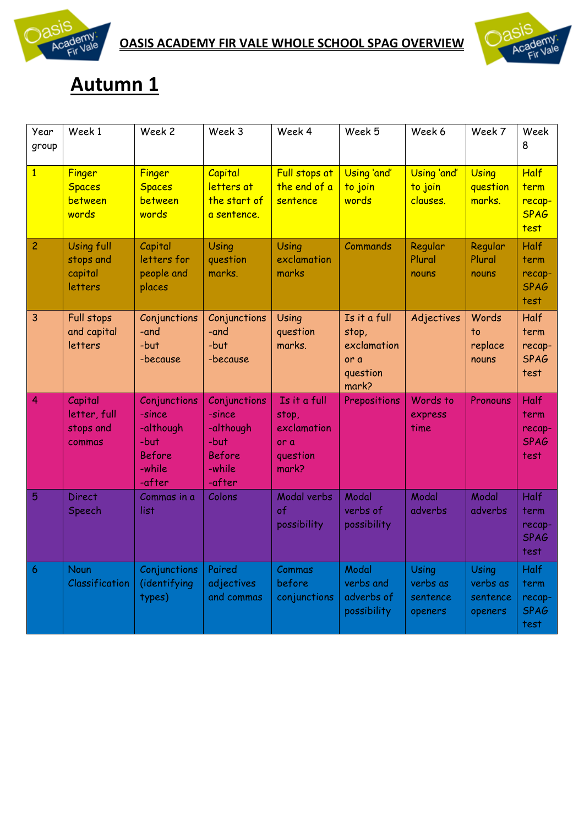



#### **Autumn 1**

| Year<br>group       | Week 1                                         | Week 2                                                                           | Week 3                                                                           | Week 4                                                            | Week 5                                                            | Week 6                                   | Week 7                                   | Week<br>8                                            |
|---------------------|------------------------------------------------|----------------------------------------------------------------------------------|----------------------------------------------------------------------------------|-------------------------------------------------------------------|-------------------------------------------------------------------|------------------------------------------|------------------------------------------|------------------------------------------------------|
| $\overline{1}$      | Finger<br><b>Spaces</b><br>between<br>words    | Finger<br><b>Spaces</b><br>between<br>words                                      | Capital<br>letters at<br>the start of<br>a sentence.                             | Full stops at<br>the end of a<br>sentence                         | Using 'and'<br>to join<br>words                                   | Using 'and'<br>to join<br>clauses.       | <b>Using</b><br>question<br>marks.       | <b>Half</b><br>term<br>recap-<br><b>SPAG</b><br>test |
| $\overline{c}$      | Using full<br>stops and<br>capital<br>letters  | Capital<br>letters for<br>people and<br>places                                   | Using<br>question<br>marks.                                                      | Using<br>exclamation<br>marks                                     | Commands                                                          | Regular<br>Plural<br>nouns               | Regular<br>Plural<br>nouns               | <b>Half</b><br>term<br>recap-<br><b>SPAG</b><br>test |
| $\overline{3}$      | Full stops<br>and capital<br>letters           | Conjunctions<br>-and<br>-but<br>-because                                         | Conjunctions<br>-and<br>-but<br>-because                                         | Using<br>question<br>marks.                                       | Is it a full<br>stop,<br>exclamation<br>or a<br>question<br>mark? | Adjectives                               | Words<br>to<br>replace<br>nouns          | <b>Half</b><br>term<br>recap-<br><b>SPAG</b><br>test |
| $\overline{4}$      | Capital<br>letter, full<br>stops and<br>commas | Conjunctions<br>-since<br>-although<br>-but<br><b>Before</b><br>-while<br>-after | Conjunctions<br>-since<br>-although<br>-but<br><b>Before</b><br>-while<br>-after | Is it a full<br>stop,<br>exclamation<br>or a<br>question<br>mark? | Prepositions                                                      | Words to<br>express<br>time              | Pronouns                                 | Half<br>term<br>recap-<br><b>SPAG</b><br>test        |
| $\overline{5}$      | <b>Direct</b><br>Speech                        | Commas in a<br>list                                                              | Colons                                                                           | Modal verbs<br>$\circ$ f<br>possibility                           | Modal<br>verbs of<br>possibility                                  | Modal<br>adverbs                         | Modal<br>adverbs                         | Half<br>term<br>recap-<br><b>SPAG</b><br>test        |
| $\ddot{\mathbf{6}}$ | <b>Noun</b><br>Classification                  | Conjunctions<br>(identifying<br>types)                                           | Paired<br>adjectives<br>and commas                                               | Commas<br>before<br>conjunctions                                  | Modal<br>verbs and<br>adverbs of<br>possibility                   | Using<br>verbs as<br>sentence<br>openers | Using<br>verbs as<br>sentence<br>openers | <b>Half</b><br>term<br>recap-<br><b>SPAG</b><br>test |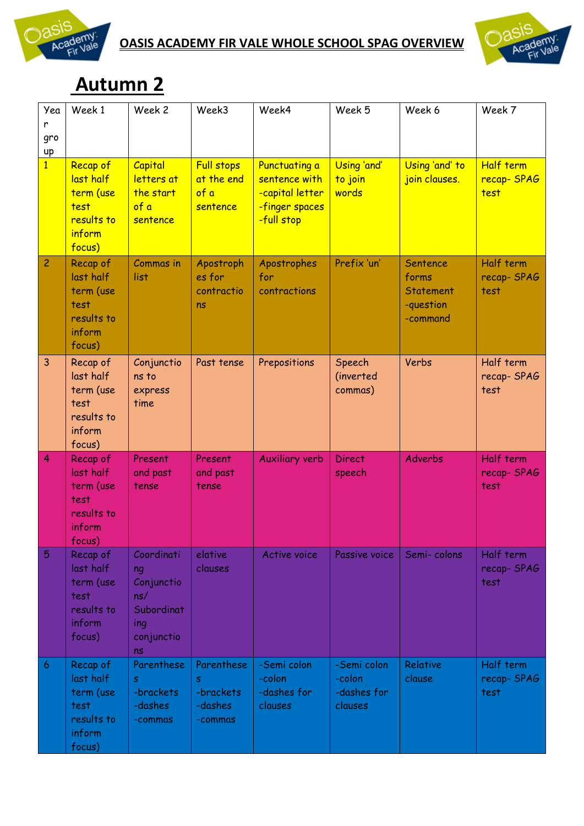



#### **Autumn 2**

| Yea<br>r<br>gro<br>$\mathsf{u}$ | Week 1                                                                       | Week 2                                                                         | Week3                                               | Week4                                                                             | Week 5                                          | Week 6                                                         | Week 7                          |
|---------------------------------|------------------------------------------------------------------------------|--------------------------------------------------------------------------------|-----------------------------------------------------|-----------------------------------------------------------------------------------|-------------------------------------------------|----------------------------------------------------------------|---------------------------------|
| $\overline{1}$                  | Recap of<br>last half<br>term (use<br>test<br>results to<br>inform<br>focus) | Capital<br>letters at<br>the start<br>of a<br>sentence                         | <b>Full stops</b><br>at the end<br>of a<br>sentence | Punctuating a<br>sentence with<br>-capital letter<br>-finger spaces<br>-full stop | Using 'and'<br>to join<br>words                 | Using 'and' to<br>join clauses.                                | Half term<br>recap-SPAG<br>test |
| $\overline{c}$                  | Recap of<br>last half<br>term (use<br>test<br>results to<br>inform<br>focus) | Commas in<br>list                                                              | Apostroph<br>es for<br>contractio<br>ns             | Apostrophes<br>for<br>contractions                                                | Prefix 'un'                                     | Sentence<br>forms<br><b>Statement</b><br>-question<br>-command | Half term<br>recap-SPAG<br>test |
| 3                               | Recap of<br>last half<br>term (use<br>test<br>results to<br>inform<br>focus) | Conjunctio<br>ns to<br>express<br>time                                         | Past tense                                          | Prepositions                                                                      | Speech<br>(inverted<br>commas)                  | Verbs                                                          | Half term<br>recap-SPAG<br>test |
| $\overline{4}$                  | Recap of<br>last half<br>term (use<br>test<br>results to<br>inform<br>focus) | Present<br>and past<br>tense                                                   | Present<br>and past<br>tense                        | <b>Auxiliary verb</b>                                                             | <b>Direct</b><br>speech                         | Adverbs                                                        | Half term<br>recap-SPAG<br>test |
| $\overline{5}$                  | Recap of<br>last half<br>term (use<br>test<br>results to<br>inform<br>focus) | Coordinati<br>ng<br>Conjunctio<br>ns/<br>Subordinat<br>ing<br>conjunctio<br>ns | elative<br>clauses                                  | Active voice                                                                      | Passive voice                                   | Semi-colons                                                    | Half term<br>recap-SPAG<br>test |
| $\ddot{\mathbf{6}}$             | Recap of<br>last half<br>term (use<br>test<br>results to<br>inform<br>focus) | Parenthese<br>$\mathbf{s}$<br>-brackets<br>-dashes<br>-commas                  | Parenthese<br>-brackets<br>-dashes<br>-commas       | -Semi colon<br>-colon<br>-dashes for<br>clauses                                   | -Semi colon<br>-colon<br>-dashes for<br>clauses | Relative<br>clause                                             | Half term<br>recap-SPAG<br>test |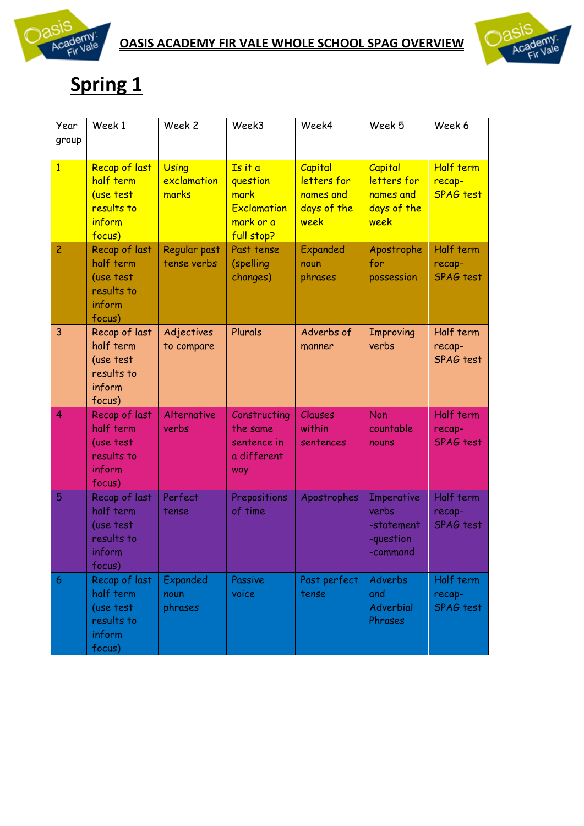



# **Spring 1**

| Year<br>group       | Week 1                                                                    | Week 2                               | Week3                                                                 | Week4                                                      | Week 5                                                     | Week 6                                         |
|---------------------|---------------------------------------------------------------------------|--------------------------------------|-----------------------------------------------------------------------|------------------------------------------------------------|------------------------------------------------------------|------------------------------------------------|
| $\overline{1}$      | Recap of last<br>half term<br>(use test<br>results to<br>inform<br>focus) | <b>Using</b><br>exclamation<br>marks | Is it a<br>question<br>mark<br>Exclamation<br>mark or a<br>full stop? | Capital<br>letters for<br>names and<br>days of the<br>week | Capital<br>letters for<br>names and<br>days of the<br>week | <b>Half term</b><br>recap-<br><b>SPAG test</b> |
| $\overline{c}$      | Recap of last<br>half term<br>(use test<br>results to<br>inform<br>focus) | Regular past<br>tense verbs          | Past tense<br>(spelling<br>changes)                                   | Expanded<br>noun<br>phrases                                | Apostrophe<br>for<br>possession                            | Half term<br>recap-<br><b>SPAG</b> test        |
| 3                   | Recap of last<br>half term<br>(use test<br>results to<br>inform<br>focus) | Adjectives<br>to compare             | Plurals                                                               | Adverbs of<br>manner                                       | <b>Improving</b><br>verbs                                  | Half term<br>recap-<br>SPAG test               |
| $\overline{4}$      | Recap of last<br>half term<br>(use test<br>results to<br>inform<br>focus) | Alternative<br>verbs                 | Constructing<br>the same<br>sentence in<br>a different<br>way         | Clauses<br>within<br>sentences                             | Non<br>countable<br>nouns                                  | Half term<br>recap-<br><b>SPAG</b> test        |
| 5                   | Recap of last<br>half term<br>(use test<br>results to<br>inform<br>focus) | Perfect<br>tense                     | Prepositions<br>of time                                               | Apostrophes                                                | Imperative<br>verbs<br>-statement<br>-question<br>-command | Half term<br>recap-<br>SPAG test               |
| $\ddot{\mathbf{6}}$ | Recap of last<br>half term<br>(use test<br>results to<br>inform<br>focus) | Expanded<br>noun<br>phrases          | Passive<br>voice                                                      | Past perfect<br>tense                                      | Adverbs<br>and<br>Adverbial<br>Phrases                     | Half term<br>recap-<br>SPAG test               |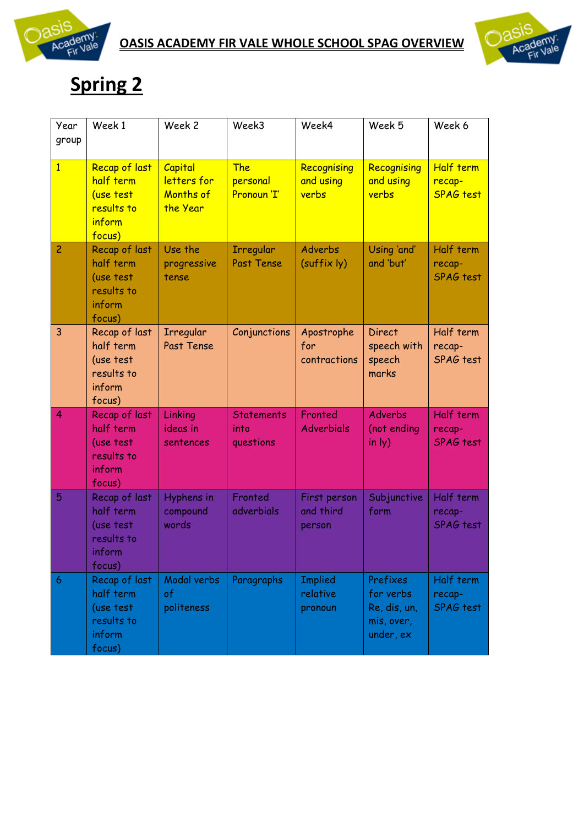



# **Spring 2**

| Year<br>group  | Week 1                                                                    | Week 2                                          | Week3                                  | Week4                                 | Week 5                                                           | Week 6                                         |
|----------------|---------------------------------------------------------------------------|-------------------------------------------------|----------------------------------------|---------------------------------------|------------------------------------------------------------------|------------------------------------------------|
| $\overline{1}$ | Recap of last<br>half term<br>(use test<br>results to<br>inform<br>focus) | Capital<br>letters for<br>Months of<br>the Year | The<br>personal<br>Pronoun 'I'         | Recognising<br>and using<br>verbs     | Recognising<br>and using<br>verbs                                | <b>Half term</b><br>recap-<br><b>SPAG test</b> |
| $\overline{c}$ | Recap of last<br>half term<br>(use test<br>results to<br>inform<br>focus) | Use the<br>progressive<br>tense                 | <b>Irregular</b><br><b>Past Tense</b>  | Adverbs<br>(suffix ly)                | Using 'and'<br>and 'but'                                         | Half term<br>recap-<br><b>SPAG</b> test        |
| $\overline{3}$ | Recap of last<br>half term<br>(use test<br>results to<br>inform<br>focus) | <b>Irregular</b><br>Past Tense                  | Conjunctions                           | Apostrophe<br>for<br>contractions     | <b>Direct</b><br>speech with<br>speech<br>marks                  | Half term<br>recap-<br>SPAG test               |
| $\overline{4}$ | Recap of last<br>half term<br>(use test<br>results to<br>inform<br>focus) | Linking<br>ideas in<br>sentences                | <b>Statements</b><br>into<br>questions | Fronted<br><b>Adverbials</b>          | <b>Adverbs</b><br>(not ending<br>in $ y\rangle$                  | Half term<br>recap-<br>SPAG test               |
| 5              | Recap of last<br>half term<br>(use test<br>results to<br>inform<br>focus) | Hyphens in<br>compound<br>words                 | Fronted<br>adverbials                  | First person<br>and third<br>person   | Subjunctive<br>form                                              | Half term<br>recap-<br>SPAG test               |
| $\vert 6$      | Recap of last<br>half term<br>(use test<br>results to<br>inform<br>focus) | Modal verbs<br>of<br>politeness                 | Paragraphs                             | <b>Implied</b><br>relative<br>pronoun | Prefixes<br>for verbs<br>Re, dis, un,<br>mis, over,<br>under, ex | Half term<br>recap-<br>SPAG test               |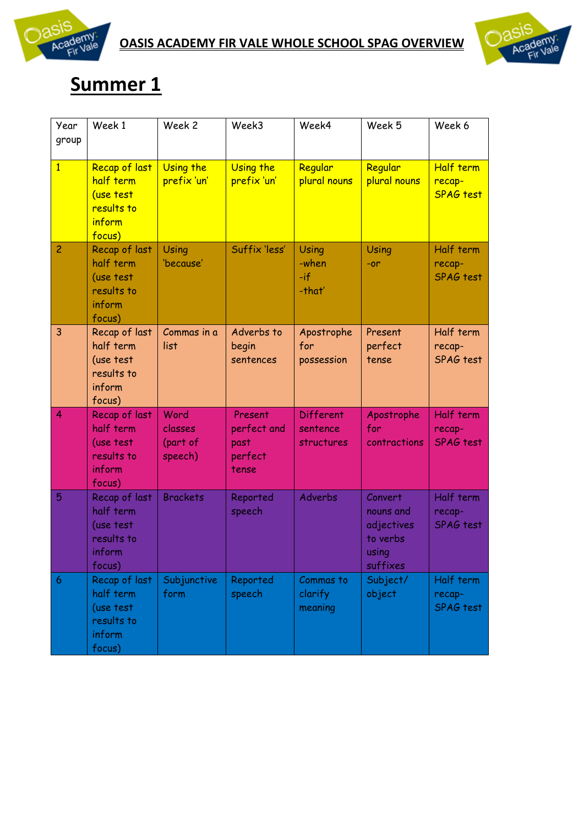



### **Summer 1**

| Year<br>group  | Week 1                                                                    | Week 2                                 | Week3                                              | Week4                               | Week 5                                                              | Week 6                                         |
|----------------|---------------------------------------------------------------------------|----------------------------------------|----------------------------------------------------|-------------------------------------|---------------------------------------------------------------------|------------------------------------------------|
| $\overline{1}$ | Recap of last<br>half term<br>(use test<br>results to<br>inform<br>focus) | Using the<br>prefix 'un'               | Using the<br>prefix 'un'                           | Regular<br>plural nouns             | Regular<br>plural nouns                                             | <b>Half term</b><br>recap-<br><b>SPAG test</b> |
| $\overline{2}$ | Recap of last<br>half term<br>(use test<br>results to<br>inform<br>focus) | Using<br>'because'                     | Suffix 'less'                                      | Using<br>-when<br>$-i f$<br>-that'  | Using<br>$-0r$                                                      | Half term<br>recap-<br>SPAG test               |
| $\overline{3}$ | Recap of last<br>half term<br>(use test<br>results to<br>inform<br>focus) | Commas in a<br>list                    | Adverbs to<br>begin<br>sentences                   | Apostrophe<br>for<br>possession     | Present<br>perfect<br>tense                                         | Half term<br>recap-<br><b>SPAG</b> test        |
| $\overline{4}$ | Recap of last<br>half term<br>(use test<br>results to<br>inform<br>focus) | Word<br>classes<br>(part of<br>speech) | Present<br>perfect and<br>past<br>perfect<br>tense | Different<br>sentence<br>structures | Apostrophe<br>for<br>contractions                                   | Half term<br>recap-<br><b>SPAG</b> test        |
| 5              | Recap of last<br>half term<br>(use test<br>results to<br>inform<br>focus) | <b>Brackets</b>                        | Reported<br>speech                                 | <b>Adverbs</b>                      | Convert<br>nouns and<br>adjectives<br>to verbs<br>using<br>suffixes | Half term<br>recap-<br>SPAG test               |
| $\vert 6$      | Recap of last<br>half term<br>(use test<br>results to<br>inform<br>focus) | Subjunctive<br>form                    | Reported<br>speech                                 | Commas to<br>clarify<br>meaning     | Subject/<br>object                                                  | Half term<br>recap-<br>SPAG test               |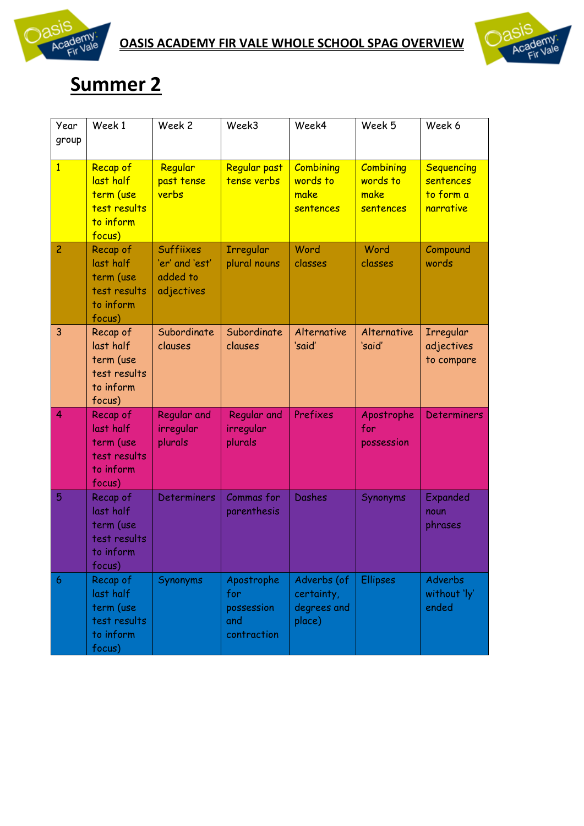



### **Summer 2**

| Year<br>group  | Week 1                                                                    | Week 2                                                       | Week3                                                 | Week4                                              | Week 5                                            | Week 6                                                   |
|----------------|---------------------------------------------------------------------------|--------------------------------------------------------------|-------------------------------------------------------|----------------------------------------------------|---------------------------------------------------|----------------------------------------------------------|
| $\overline{1}$ | Recap of<br>last half<br>term (use<br>test results<br>to inform<br>focus) | Regular<br>past tense<br>verbs                               | Regular past<br>tense verbs                           | <b>Combining</b><br>words to<br>make<br>sentences  | <b>Combining</b><br>words to<br>make<br>sentences | <b>Sequencing</b><br>sentences<br>to form a<br>narrative |
| $\overline{c}$ | Recap of<br>last half<br>term (use<br>test results<br>to inform<br>focus) | <b>Suffiixes</b><br>'er' and 'est'<br>added to<br>adjectives | <b>Irregular</b><br>plural nouns                      | Word<br>classes                                    | Word<br>classes                                   | Compound<br>words                                        |
| $\overline{3}$ | Recap of<br>last half<br>term (use<br>test results<br>to inform<br>focus) | Subordinate<br>clauses                                       | Subordinate<br>clauses                                | Alternative<br>'said'                              | Alternative<br>'said'                             | Irregular<br>adjectives<br>to compare                    |
| $\overline{4}$ | Recap of<br>last half<br>term (use<br>test results<br>to inform<br>focus) | Regular and<br>irregular<br>plurals                          | Regular and<br>irregular<br>plurals                   | Prefixes                                           | Apostrophe<br>for<br>possession                   | <b>Determiners</b>                                       |
| 5              | Recap of<br>last half<br>term (use<br>test results<br>to inform<br>focus) | <b>Determiners</b>                                           | Commas for<br>parenthesis                             | <b>Dashes</b>                                      | Synonyms                                          | Expanded<br>noun<br>phrases                              |
| $\vert 6$      | Recap of<br>last half<br>term (use<br>test results<br>to inform<br>focus) | Synonyms                                                     | Apostrophe<br>for<br>possession<br>and<br>contraction | Adverbs (of<br>certainty,<br>degrees and<br>place) | <b>Ellipses</b>                                   | <b>Adverbs</b><br>without 'ly'<br>ended                  |